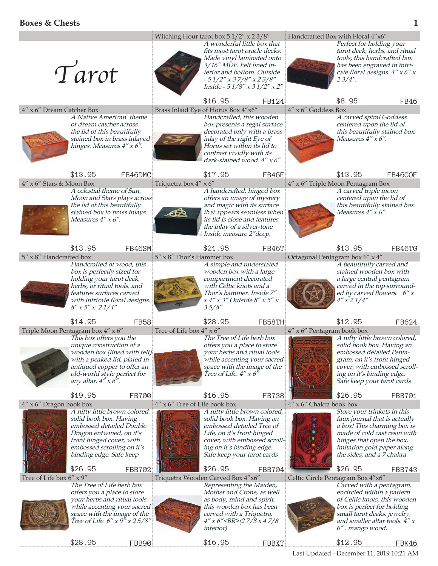|                                                                                                                                                                                                                                                                | Witching Hour tarot box $51/2''$ x $23/8''$ |                                                                                                                                                                                                                           |              |                                   | Handcrafted Box with Floral 4"x6"                                                                                                                                                                                   |             |  |
|----------------------------------------------------------------------------------------------------------------------------------------------------------------------------------------------------------------------------------------------------------------|---------------------------------------------|---------------------------------------------------------------------------------------------------------------------------------------------------------------------------------------------------------------------------|--------------|-----------------------------------|---------------------------------------------------------------------------------------------------------------------------------------------------------------------------------------------------------------------|-------------|--|
| Tarot                                                                                                                                                                                                                                                          |                                             | A wonderful little box that<br>fits most tarot oracle decks.<br>Made vinyl laminated onto<br>3/16" MDF. Felt lined in-<br>terior and bottom. Outside<br>$-51/2$ " x 37/8" x 23/8"<br>Inside - $51/8''$ x $31/2''$ x $2''$ |              |                                   | Perfect for holding your<br>tarot deck, herbs, and ritual<br>tools, this handcrafted box<br>has been engraved in intri-<br>cate floral designs. $4'' \times 6'' \times$<br>23/4''.                                  |             |  |
| 4" x 6" Dream Catcher Box                                                                                                                                                                                                                                      |                                             | \$16.95<br>Brass Inlaid Eye of Horus Box 4"x6"                                                                                                                                                                            | FB124        | $4''$ x 6" Goddess Box            | \$8.95                                                                                                                                                                                                              | <b>FB46</b> |  |
| A Native American theme<br>of dream catcher across<br>the lid of this beautifully<br>stained box in brass inlayed<br>hinges. Measures 4" x 6".                                                                                                                 |                                             | Handcrafted, this wooden<br>box presents a regal surface<br>decorated only with a brass<br>inlay of the right Eye of<br>Horus set within its lid to<br>contrast vividly with its<br>dark-stained wood. 4" x 6"            |              |                                   | A carved spiral Goddess<br>centered upon the lid of<br>this beautifully stained box.<br>Measures $4''$ x 6".                                                                                                        |             |  |
| \$13.95                                                                                                                                                                                                                                                        | FB46DMC                                     | \$17.95                                                                                                                                                                                                                   | FB46E        |                                   | \$13.95                                                                                                                                                                                                             | FB46GOE     |  |
| 4" x 6" Stars & Moon Box<br>A celestial theme of Sun,                                                                                                                                                                                                          | Triquetra box 4" x 6"                       | A handcrafted, hinged box                                                                                                                                                                                                 |              | 4" x 6" Triple Moon Pentagram Box | A carved triple moon                                                                                                                                                                                                |             |  |
| Moon and Stars plays across<br>the lid of this beautifully<br>stained box in brass inlays.<br>Measures $4''$ x 6".                                                                                                                                             | ඦ                                           | offers an image of mystery<br>and magic with its surface<br>that appears seamless when<br>its lid is close and features<br>the inlay of a silver-tone<br>Inside measure 2" deep,                                          |              |                                   | centered upon the lid of<br>this beautifully stained box.<br>Measures $4'' \times 6''$ .                                                                                                                            |             |  |
| \$13.95                                                                                                                                                                                                                                                        | FB46SM                                      | \$21.95                                                                                                                                                                                                                   | FB46T        |                                   | \$13.95                                                                                                                                                                                                             | FB46TG      |  |
| 5" x 8" Handcrafted box<br>Handcrafted of wood, this                                                                                                                                                                                                           | 5" x 8" Thor's Hammer box                   | A simple and understated                                                                                                                                                                                                  |              | Octagonal Pentagram box 6" x 4"   | A beautifully carved and                                                                                                                                                                                            |             |  |
| box is perfectly sized for<br>holding your tarot deck,<br>herbs, or ritual tools, and<br>features surfaces carved<br>with intricate floral designs.<br>$8''$ x 5" x 21/4"                                                                                      |                                             | wooden box with a large<br>compartment decorated<br>with Celtic knots and a<br>Thor's hammer. Inside 7"<br>$x 4''$ x 3" Outside $8''$ x 5" x<br>35/8''                                                                    |              |                                   | stained wooden box with<br>a large central pentagram<br>carved in the top surround-<br>ed by carved flowers. $6''x$<br>$4''$ x 2 1/4"                                                                               |             |  |
| \$14.95                                                                                                                                                                                                                                                        | <b>FB58</b>                                 | \$28.95                                                                                                                                                                                                                   | FB58TH       |                                   | \$12.95                                                                                                                                                                                                             | FB624       |  |
| Triple Moon Pentagram box 4" x 6"<br>This box offers you the<br>unique construction of a<br><i>wooden box (lined with felt)</i><br>with a peaked lid, plated in<br>antiqued copper to offer an<br>old-world style perfect for<br>any altar. $4'' \times 6''$ . | Tree of Life box 4" x 6"                    | The Tree of Life herb box<br>offers you a place to store<br>your herbs and ritual tools<br>while accenting your sacred<br>space with the image of the<br>Tree of Life. $4''$ x 6"                                         |              | 4" x 6" Pentagram book box        | A nifty little brown colored,<br>solid book box. Having an<br>embossed detailed Penta-<br>gram, on it's front hinged<br>cover, with embossed scroll-<br>ing on it's binding edge.<br>Safe keep your tarot cards     |             |  |
| \$19.95                                                                                                                                                                                                                                                        | FB700                                       | \$16.95                                                                                                                                                                                                                   | <b>FB738</b> |                                   | \$26.95                                                                                                                                                                                                             | FBB701      |  |
| $4'' \times 6''$ Dragon book box<br>A nifty little brown colored,<br>solid book box. Having<br>embossed detailed Double<br>Dragon entwined, on it's<br>front hinged cover, with<br>embossed scrolling on it's<br>binding edge. Safe keep                       | 4" x 6" Tree of Life book box               | A nifty little brown colored,<br>solid book box. Having an<br>embossed detailed Tree of<br>Life, on it's front hinged<br>cover, with embossed scroll-<br>ing on it's binding edge.<br>Safe keep your tarot cards          |              | 4" x 6" Chakra book box           | Store your trinkets in this<br>faux journal that is actually<br>a box! This charming box is<br>made of cold cast resin with<br>hinges that open the box,<br>imitation gold paper along<br>the sides, and a 7 chakra |             |  |
| \$26.95                                                                                                                                                                                                                                                        | FBB702                                      | \$26.95                                                                                                                                                                                                                   | FBB704       |                                   | \$26.95                                                                                                                                                                                                             | FBB743      |  |
| Tree of Life box 6" x 9"<br>The Tree of Life herb box                                                                                                                                                                                                          |                                             | Triquetra Wooden Carved Box 4"x6"<br>Representing the Maiden,                                                                                                                                                             |              | Celtic Circle Pentagram Box 4"x6" | Carved with a pentagram,                                                                                                                                                                                            |             |  |
| offers you a place to store<br>your herbs and ritual tools<br>while accenting your sacred<br>space with the image of the<br><i>Tree of Life. 6" x 9" x 2 5/8"</i>                                                                                              |                                             | Mother and Crone, as well<br>as body, mind and spirit,<br>this wooden box has been<br>carved with a Triquetra.<br>$4''$ x 6"<br>(2 7/8 x 4 7/8<br><i>interior</i> )                                                       |              |                                   | encircled within a pattern<br>of Celtic knots, this wooden<br>box is perfect for holding<br>small tarot decks, jewelry,<br>and smaller altar tools. 4" x<br>6". mango wood.                                         |             |  |
| \$28.95                                                                                                                                                                                                                                                        | FBB90                                       | \$16.95                                                                                                                                                                                                                   | FBBXT        |                                   | \$12.95                                                                                                                                                                                                             | FBK46       |  |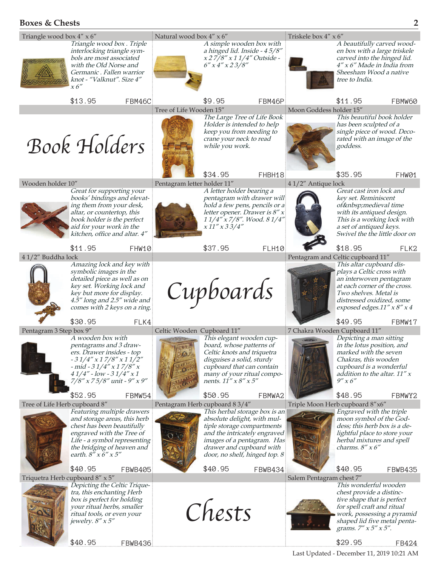## **Boxes & Chests 2**